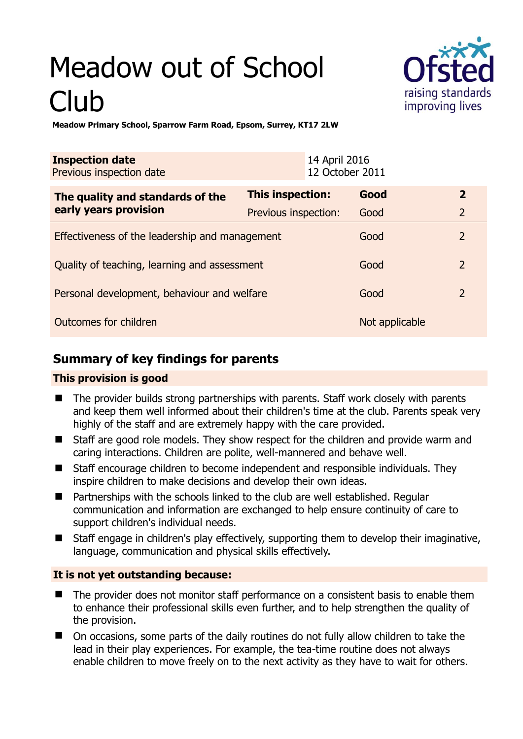# Meadow out of School Club



**Meadow Primary School, Sparrow Farm Road, Epsom, Surrey, KT17 2LW** 

| <b>Inspection date</b><br>Previous inspection date        | 14 April 2016           | 12 October 2011 |                |
|-----------------------------------------------------------|-------------------------|-----------------|----------------|
| The quality and standards of the<br>early years provision | <b>This inspection:</b> | Good            | $\mathbf{2}$   |
|                                                           | Previous inspection:    | Good            | $\overline{2}$ |
| Effectiveness of the leadership and management            |                         | Good            | $\overline{2}$ |
| Quality of teaching, learning and assessment              |                         | Good            | $\overline{2}$ |
| Personal development, behaviour and welfare               |                         | Good            | $\overline{2}$ |
| Outcomes for children                                     |                         | Not applicable  |                |

# **Summary of key findings for parents**

## **This provision is good**

- The provider builds strong partnerships with parents. Staff work closely with parents and keep them well informed about their children's time at the club. Parents speak very highly of the staff and are extremely happy with the care provided.
- Staff are good role models. They show respect for the children and provide warm and caring interactions. Children are polite, well-mannered and behave well.
- Staff encourage children to become independent and responsible individuals. They inspire children to make decisions and develop their own ideas.
- Partnerships with the schools linked to the club are well established. Regular communication and information are exchanged to help ensure continuity of care to support children's individual needs.
- Staff engage in children's play effectively, supporting them to develop their imaginative, language, communication and physical skills effectively.

## **It is not yet outstanding because:**

- The provider does not monitor staff performance on a consistent basis to enable them to enhance their professional skills even further, and to help strengthen the quality of the provision.
- On occasions, some parts of the daily routines do not fully allow children to take the lead in their play experiences. For example, the tea-time routine does not always enable children to move freely on to the next activity as they have to wait for others.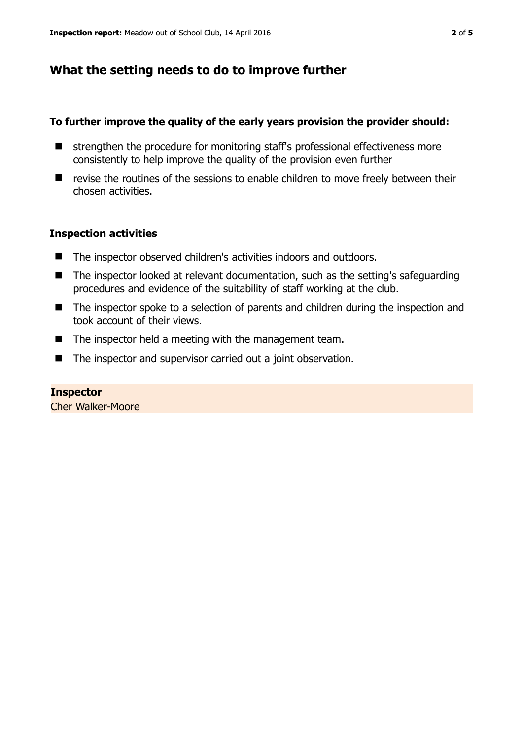# **What the setting needs to do to improve further**

#### **To further improve the quality of the early years provision the provider should:**

- $\blacksquare$  strengthen the procedure for monitoring staff's professional effectiveness more consistently to help improve the quality of the provision even further
- $\blacksquare$  revise the routines of the sessions to enable children to move freely between their chosen activities.

### **Inspection activities**

- The inspector observed children's activities indoors and outdoors.
- The inspector looked at relevant documentation, such as the setting's safeguarding procedures and evidence of the suitability of staff working at the club.
- The inspector spoke to a selection of parents and children during the inspection and took account of their views.
- The inspector held a meeting with the management team.
- The inspector and supervisor carried out a joint observation.

**Inspector**  Cher Walker-Moore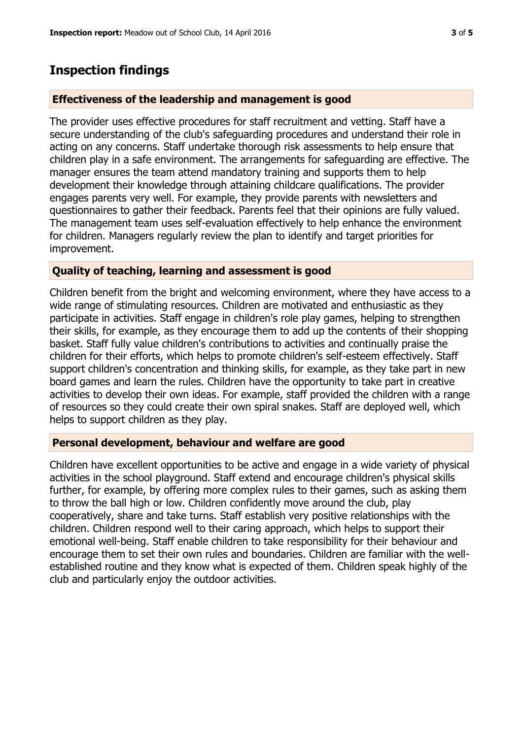## **Inspection findings**

#### **Effectiveness of the leadership and management is good**

The provider uses effective procedures for staff recruitment and vetting. Staff have a secure understanding of the club's safeguarding procedures and understand their role in acting on any concerns. Staff undertake thorough risk assessments to help ensure that children play in a safe environment. The arrangements for safeguarding are effective. The manager ensures the team attend mandatory training and supports them to help development their knowledge through attaining childcare qualifications. The provider engages parents very well. For example, they provide parents with newsletters and questionnaires to gather their feedback. Parents feel that their opinions are fully valued. The management team uses self-evaluation effectively to help enhance the environment for children. Managers regularly review the plan to identify and target priorities for improvement.

#### **Quality of teaching, learning and assessment is good**

Children benefit from the bright and welcoming environment, where they have access to a wide range of stimulating resources. Children are motivated and enthusiastic as they participate in activities. Staff engage in children's role play games, helping to strengthen their skills, for example, as they encourage them to add up the contents of their shopping basket. Staff fully value children's contributions to activities and continually praise the children for their efforts, which helps to promote children's self-esteem effectively. Staff support children's concentration and thinking skills, for example, as they take part in new board games and learn the rules. Children have the opportunity to take part in creative activities to develop their own ideas. For example, staff provided the children with a range of resources so they could create their own spiral snakes. Staff are deployed well, which helps to support children as they play.

#### **Personal development, behaviour and welfare are good**

Children have excellent opportunities to be active and engage in a wide variety of physical activities in the school playground. Staff extend and encourage children's physical skills further, for example, by offering more complex rules to their games, such as asking them to throw the ball high or low. Children confidently move around the club, play cooperatively, share and take turns. Staff establish very positive relationships with the children. Children respond well to their caring approach, which helps to support their emotional well-being. Staff enable children to take responsibility for their behaviour and encourage them to set their own rules and boundaries. Children are familiar with the wellestablished routine and they know what is expected of them. Children speak highly of the club and particularly enjoy the outdoor activities.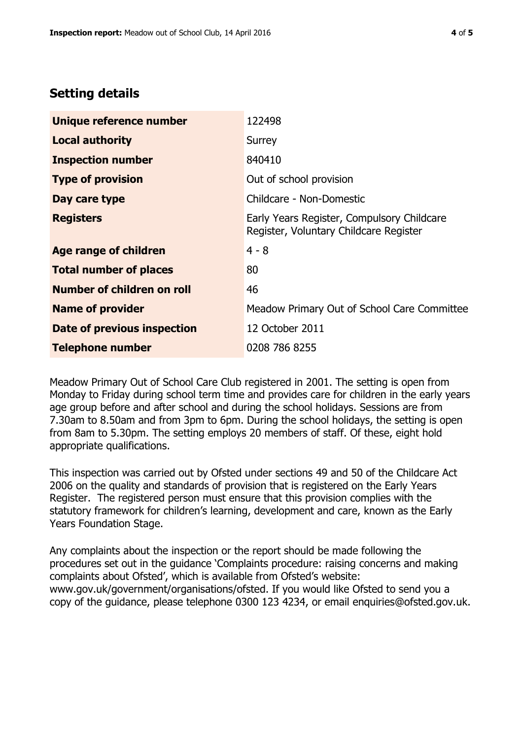## **Setting details**

| Unique reference number           | 122498                                                                               |  |
|-----------------------------------|--------------------------------------------------------------------------------------|--|
| <b>Local authority</b>            | Surrey                                                                               |  |
| <b>Inspection number</b>          | 840410                                                                               |  |
| <b>Type of provision</b>          | Out of school provision                                                              |  |
| Day care type                     | Childcare - Non-Domestic                                                             |  |
| <b>Registers</b>                  | Early Years Register, Compulsory Childcare<br>Register, Voluntary Childcare Register |  |
| <b>Age range of children</b>      | $4 - 8$                                                                              |  |
| <b>Total number of places</b>     | 80                                                                                   |  |
| <b>Number of children on roll</b> | 46                                                                                   |  |
| <b>Name of provider</b>           | Meadow Primary Out of School Care Committee                                          |  |
| Date of previous inspection       | 12 October 2011                                                                      |  |
| <b>Telephone number</b>           | 0208 786 8255                                                                        |  |

Meadow Primary Out of School Care Club registered in 2001. The setting is open from Monday to Friday during school term time and provides care for children in the early years age group before and after school and during the school holidays. Sessions are from 7.30am to 8.50am and from 3pm to 6pm. During the school holidays, the setting is open from 8am to 5.30pm. The setting employs 20 members of staff. Of these, eight hold appropriate qualifications.

This inspection was carried out by Ofsted under sections 49 and 50 of the Childcare Act 2006 on the quality and standards of provision that is registered on the Early Years Register. The registered person must ensure that this provision complies with the statutory framework for children's learning, development and care, known as the Early Years Foundation Stage.

Any complaints about the inspection or the report should be made following the procedures set out in the guidance 'Complaints procedure: raising concerns and making complaints about Ofsted', which is available from Ofsted's website: www.gov.uk/government/organisations/ofsted. If you would like Ofsted to send you a copy of the guidance, please telephone 0300 123 4234, or email enquiries@ofsted.gov.uk.